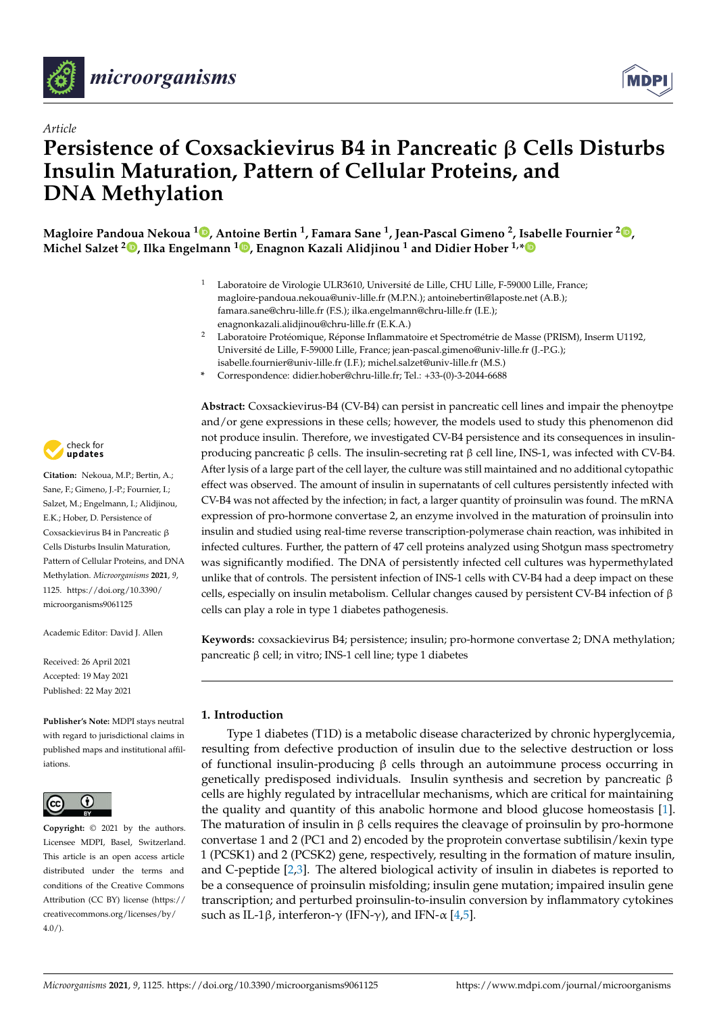



# *Article* **Persistence of Coxsackievirus B4 in Pancreatic** β **Cells Disturbs Insulin Maturation, Pattern of Cellular Proteins, and DNA Methylation**

**Magloire Pandoua Nekoua <sup>1</sup> , Antoine Bertin <sup>1</sup> , Famara Sane <sup>1</sup> , Jean-Pascal Gimeno <sup>2</sup> , Isabelle Fournier <sup>2</sup> , Michel Salzet <sup>2</sup> , Ilka Engelmann <sup>1</sup> , Enagnon Kazali Alidjinou <sup>1</sup> and Didier Hober 1,\***

- <sup>1</sup> Laboratoire de Virologie ULR3610, Université de Lille, CHU Lille, F-59000 Lille, France; magloire-pandoua.nekoua@univ-lille.fr (M.P.N.); antoinebertin@laposte.net (A.B.); famara.sane@chru-lille.fr (F.S.); ilka.engelmann@chru-lille.fr (I.E.); enagnonkazali.alidjinou@chru-lille.fr (E.K.A.)
- <sup>2</sup> Laboratoire Protéomique, Réponse Inflammatoire et Spectrométrie de Masse (PRISM), Inserm U1192, Université de Lille, F-59000 Lille, France; jean-pascal.gimeno@univ-lille.fr (J.-P.G.); isabelle.fournier@univ-lille.fr (I.F.); michel.salzet@univ-lille.fr (M.S.)
- **\*** Correspondence: didier.hober@chru-lille.fr; Tel.: +33-(0)-3-2044-6688

check for updates

**Citation:** Nekoua, M.P.; Bertin, A.; Sane, F.; Gimeno, J.-P.; Fournier, I.; Salzet, M.; Engelmann, I.; Alidjinou, E.K.; Hober, D. Persistence of Coxsackievirus B4 in Pancreatic β Cells Disturbs Insulin Maturation, Pattern of Cellular Proteins, and DNA Methylation. *Microorganisms* **2021**, *9*, 1125. https://doi.org/10.3390/ microorganisms9061125

Academic Editor: David J. Allen

Received: 26 April 2021 Accepted: 19 May 2021 Published: 22 May 2021

**Publisher's Note:** MDPI stays neutral with regard to jurisdictional claims in published maps and institutional affiliations.



**Copyright:** © 2021 by the authors. Licensee MDPI, Basel, Switzerland. This article is an open access article distributed under the terms and conditions of the Creative Commons Attribution (CC BY) license (https:// creativecommons.org/licenses/by/ 4.0/).

**Abstract:** Coxsackievirus-B4 (CV-B4) can persist in pancreatic cell lines and impair the phenoytpe and/or gene expressions in these cells; however, the models used to study this phenomenon did not produce insulin. Therefore, we investigated CV-B4 persistence and its consequences in insulinproducing pancreatic β cells. The insulin-secreting rat β cell line, INS-1, was infected with CV-B4. After lysis of a large part of the cell layer, the culture was still maintained and no additional cytopathic effect was observed. The amount of insulin in supernatants of cell cultures persistently infected with CV-B4 was not affected by the infection; in fact, a larger quantity of proinsulin was found. The mRNA expression of pro-hormone convertase 2, an enzyme involved in the maturation of proinsulin into insulin and studied using real-time reverse transcription-polymerase chain reaction, was inhibited in infected cultures. Further, the pattern of 47 cell proteins analyzed using Shotgun mass spectrometry was significantly modified. The DNA of persistently infected cell cultures was hypermethylated unlike that of controls. The persistent infection of INS-1 cells with CV-B4 had a deep impact on these cells, especially on insulin metabolism. Cellular changes caused by persistent CV-B4 infection of β cells can play a role in type 1 diabetes pathogenesis.

**Keywords:** coxsackievirus B4; persistence; insulin; pro-hormone convertase 2; DNA methylation; pancreatic β cell; in vitro; INS-1 cell line; type 1 diabetes

## **1. Introduction**

Type 1 diabetes (T1D) is a metabolic disease characterized by chronic hyperglycemia, resulting from defective production of insulin due to the selective destruction or loss of functional insulin-producing β cells through an autoimmune process occurring in genetically predisposed individuals. Insulin synthesis and secretion by pancreatic β cells are highly regulated by intracellular mechanisms, which are critical for maintaining the quality and quantity of this anabolic hormone and blood glucose homeostasis [1]. The maturation of insulin in  $\beta$  cells requires the cleavage of proinsulin by pro-hormone convertase 1 and 2 (PC1 and 2) encoded by the proprotein convertase subtilisin/kexin type 1 (PCSK1) and 2 (PCSK2) gene, respectively, resulting in the formation of mature insulin, and C-peptide [2,3]. The altered biological activity of insulin in diabetes is reported to be a consequence of proinsulin misfolding; insulin gene mutation; impaired insulin gene transcription; and perturbed proinsulin-to-insulin conversion by inflammatory cytokines such as IL-1β, interferon-γ (IFN-γ), and IFN- $\alpha$  [4,5].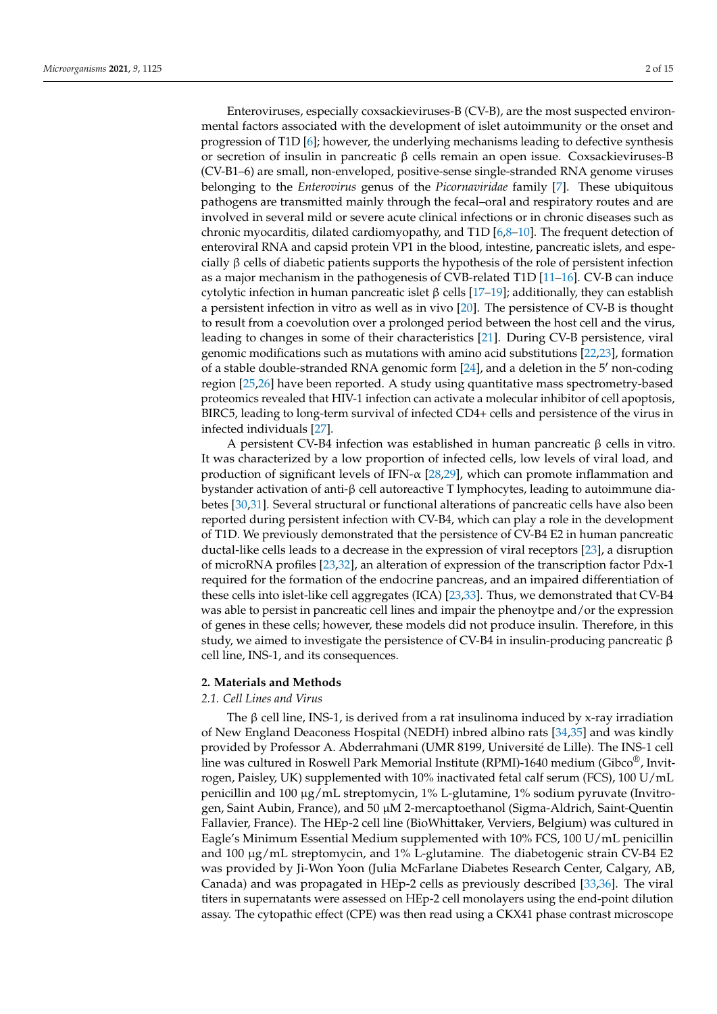Enteroviruses, especially coxsackieviruses-B (CV-B), are the most suspected environmental factors associated with the development of islet autoimmunity or the onset and progression of T1D [6]; however, the underlying mechanisms leading to defective synthesis or secretion of insulin in pancreatic β cells remain an open issue. Coxsackieviruses-B (CV-B1–6) are small, non-enveloped, positive-sense single-stranded RNA genome viruses belonging to the *Enterovirus* genus of the *Picornaviridae* family [7]. These ubiquitous pathogens are transmitted mainly through the fecal–oral and respiratory routes and are involved in several mild or severe acute clinical infections or in chronic diseases such as chronic myocarditis, dilated cardiomyopathy, and T1D [6,8–10]. The frequent detection of enteroviral RNA and capsid protein VP1 in the blood, intestine, pancreatic islets, and especially β cells of diabetic patients supports the hypothesis of the role of persistent infection as a major mechanism in the pathogenesis of CVB-related T1D [11–16]. CV-B can induce cytolytic infection in human pancreatic islet β cells [17–19]; additionally, they can establish a persistent infection in vitro as well as in vivo [20]. The persistence of CV-B is thought to result from a coevolution over a prolonged period between the host cell and the virus, leading to changes in some of their characteristics [21]. During CV-B persistence, viral genomic modifications such as mutations with amino acid substitutions [22,23], formation of a stable double-stranded RNA genomic form [24], and a deletion in the 5′ non-coding region [25,26] have been reported. A study using quantitative mass spectrometry-based proteomics revealed that HIV-1 infection can activate a molecular inhibitor of cell apoptosis, BIRC5, leading to long-term survival of infected CD4+ cells and persistence of the virus in infected individuals [27].

A persistent CV-B4 infection was established in human pancreatic β cells in vitro. It was characterized by a low proportion of infected cells, low levels of viral load, and production of significant levels of IFN- $\alpha$  [28,29], which can promote inflammation and bystander activation of anti-β cell autoreactive T lymphocytes, leading to autoimmune diabetes [30,31]. Several structural or functional alterations of pancreatic cells have also been reported during persistent infection with CV-B4, which can play a role in the development of T1D. We previously demonstrated that the persistence of CV-B4 E2 in human pancreatic ductal-like cells leads to a decrease in the expression of viral receptors [23], a disruption of microRNA profiles [23,32], an alteration of expression of the transcription factor Pdx-1 required for the formation of the endocrine pancreas, and an impaired differentiation of these cells into islet-like cell aggregates (ICA) [23,33]. Thus, we demonstrated that CV-B4 was able to persist in pancreatic cell lines and impair the phenoytpe and/or the expression of genes in these cells; however, these models did not produce insulin. Therefore, in this study, we aimed to investigate the persistence of CV-B4 in insulin-producing pancreatic β cell line, INS-1, and its consequences.

## **2. Materials and Methods**

#### *2.1. Cell Lines and Virus*

The β cell line, INS-1, is derived from a rat insulinoma induced by x-ray irradiation of New England Deaconess Hospital (NEDH) inbred albino rats [34,35] and was kindly provided by Professor A. Abderrahmani (UMR 8199, Université de Lille). The INS-1 cell line was cultured in Roswell Park Memorial Institute (RPMI)-1640 medium (Gibco $^{\circledR}$ , Invitrogen, Paisley, UK) supplemented with 10% inactivated fetal calf serum (FCS), 100 U/mL penicillin and 100  $\mu$ g/mL streptomycin, 1% L-glutamine, 1% sodium pyruvate (Invitrogen, Saint Aubin, France), and 50 µM 2-mercaptoethanol (Sigma-Aldrich, Saint-Quentin Fallavier, France). The HEp-2 cell line (BioWhittaker, Verviers, Belgium) was cultured in Eagle's Minimum Essential Medium supplemented with 10% FCS, 100 U/mL penicillin and  $100 \mu g/mL$  streptomycin, and  $1\%$  L-glutamine. The diabetogenic strain CV-B4 E2 was provided by Ji-Won Yoon (Julia McFarlane Diabetes Research Center, Calgary, AB, Canada) and was propagated in HEp-2 cells as previously described [33,36]. The viral titers in supernatants were assessed on HEp-2 cell monolayers using the end-point dilution assay. The cytopathic effect (CPE) was then read using a CKX41 phase contrast microscope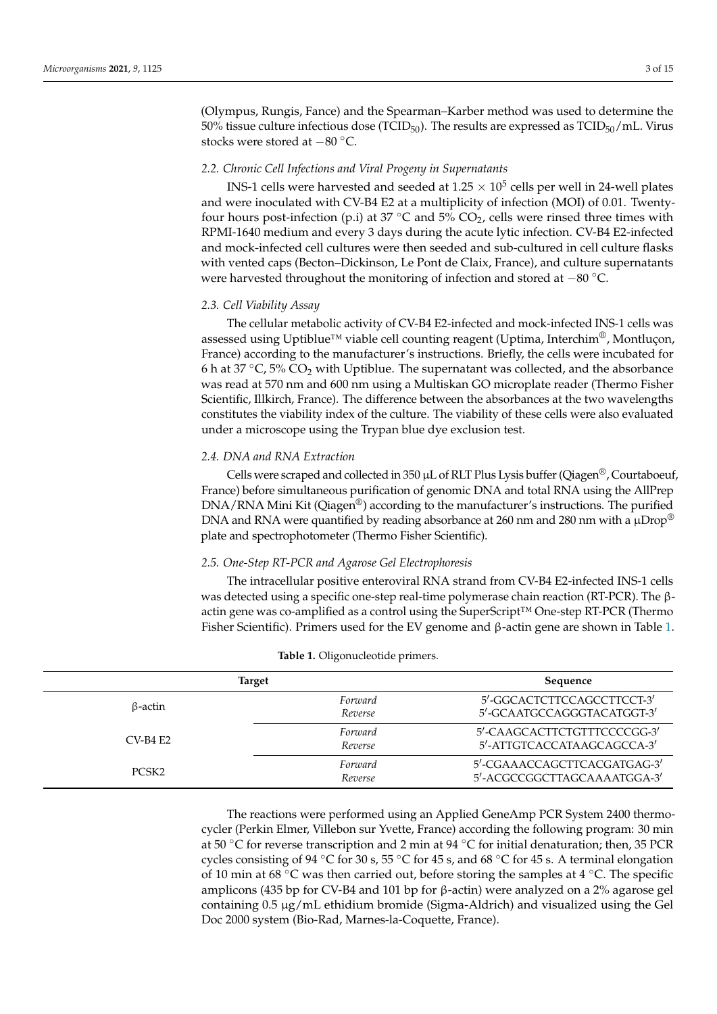(Olympus, Rungis, Fance) and the Spearman–Karber method was used to determine the 50% tissue culture infectious dose (TCID $_{50}$ ). The results are expressed as TCID $_{50}/\text{mL}$ . Virus stocks were stored at −<sup>80</sup> ◦C.

## *2.2. Chronic Cell Infections and Viral Progeny in Supernatants*

INS-1 cells were harvested and seeded at  $1.25 \times 10^5$  cells per well in 24-well plates and were inoculated with CV-B4 E2 at a multiplicity of infection (MOI) of 0.01. Twentyfour hours post-infection (p.i) at 37 °C and 5% CO<sub>2</sub>, cells were rinsed three times with RPMI-1640 medium and every 3 days during the acute lytic infection. CV-B4 E2-infected and mock-infected cell cultures were then seeded and sub-cultured in cell culture flasks with vented caps (Becton–Dickinson, Le Pont de Claix, France), and culture supernatants were harvested throughout the monitoring of infection and stored at −80 °C.

#### *2.3. Cell Viability Assay*

The cellular metabolic activity of CV-B4 E2-infected and mock-infected INS-1 cells was assessed using Uptiblue™ viable cell counting reagent (Uptima, Interchim®, Montluçon, France) according to the manufacturer's instructions. Briefly, the cells were incubated for 6 h at 37  $°C$ , 5% CO<sub>2</sub> with Uptiblue. The supernatant was collected, and the absorbance was read at 570 nm and 600 nm using a Multiskan GO microplate reader (Thermo Fisher Scientific, Illkirch, France). The difference between the absorbances at the two wavelengths constitutes the viability index of the culture. The viability of these cells were also evaluated under a microscope using the Trypan blue dye exclusion test.

## *2.4. DNA and RNA Extraction*

Cells were scraped and collected in 350  $\mu$ L of RLT Plus Lysis buffer (Qiagen<sup>®</sup>, Courtaboeuf, France) before simultaneous purification of genomic DNA and total RNA using the AllPrep DNA/RNA Mini Kit (Qiagen®) according to the manufacturer's instructions. The purified DNA and RNA were quantified by reading absorbance at 260 nm and 280 nm with a  $\mu$ Drop® plate and spectrophotometer (Thermo Fisher Scientific).

## *2.5. One-Step RT-PCR and Agarose Gel Electrophoresis*

The intracellular positive enteroviral RNA strand from CV-B4 E2-infected INS-1 cells was detected using a specific one-step real-time polymerase chain reaction (RT-PCR). The βactin gene was co-amplified as a control using the SuperScript™ One-step RT-PCR (Thermo Fisher Scientific). Primers used for the EV genome and β-actin gene are shown in Table 1.

| <b>Target</b>     | Sequence           |                                                            |  |
|-------------------|--------------------|------------------------------------------------------------|--|
| $\beta$ -actin    | Forward<br>Reverse | 5'-GGCACTCTTCCAGCCTTCCT-3'<br>5'-GCAATGCCAGGGTACATGGT-3'   |  |
| $CV-B4 F2$        | Forward<br>Reverse | 5'-CAAGCACTTCTGTTTCCCCGG-3'<br>5'-ATTGTCACCATAAGCAGCCA-3'  |  |
| PCSK <sub>2</sub> | Forward<br>Reverse | 5'-CGAAACCAGCTTCACGATGAG-3'<br>5'-ACGCCGGCTTAGCAAAATGGA-3' |  |

## **Table 1.** Oligonucleotide primers.

The reactions were performed using an Applied GeneAmp PCR System 2400 thermocycler (Perkin Elmer, Villebon sur Yvette, France) according the following program: 30 min at 50 °C for reverse transcription and 2 min at 94 °C for initial denaturation; then, 35 PCR cycles consisting of 94  $\degree$ C for 30 s, 55  $\degree$ C for 45 s, and 68  $\degree$ C for 45 s. A terminal elongation of 10 min at 68 ◦C was then carried out, before storing the samples at 4 ◦C. The specific amplicons (435 bp for CV-B4 and 101 bp for β-actin) were analyzed on a 2% agarose gel containing 0.5 µg/mL ethidium bromide (Sigma-Aldrich) and visualized using the Gel Doc 2000 system (Bio-Rad, Marnes-la-Coquette, France).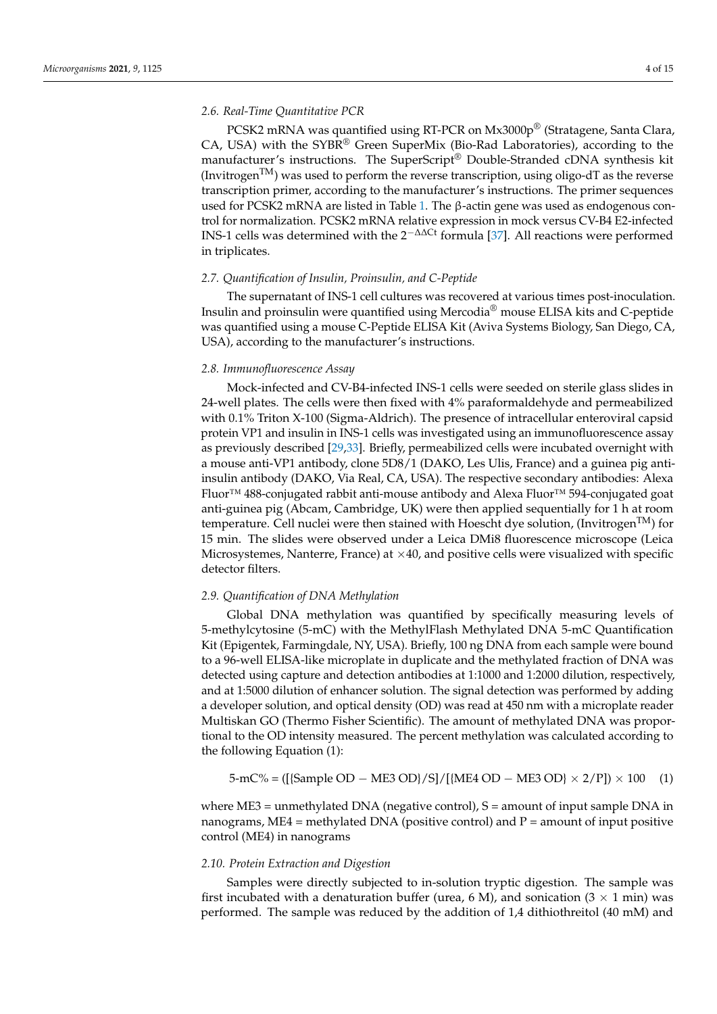## *2.6. Real-Time Quantitative PCR*

PCSK2 mRNA was quantified using RT-PCR on Mx3000p® (Stratagene, Santa Clara, CA, USA) with the SYBR® Green SuperMix (Bio-Rad Laboratories), according to the manufacturer's instructions. The SuperScript® Double-Stranded cDNA synthesis kit (Invitrogen<sup>TM</sup>) was used to perform the reverse transcription, using oligo-dT as the reverse transcription primer, according to the manufacturer's instructions. The primer sequences used for PCSK2 mRNA are listed in Table 1. The β-actin gene was used as endogenous control for normalization. PCSK2 mRNA relative expression in mock versus CV-B4 E2-infected INS-1 cells was determined with the 2−∆∆Ct formula [37]. All reactions were performed in triplicates.

## *2.7. Quantification of Insulin, Proinsulin, and C-Peptide*

The supernatant of INS-1 cell cultures was recovered at various times post-inoculation. Insulin and proinsulin were quantified using Mercodia® mouse ELISA kits and C-peptide was quantified using a mouse C-Peptide ELISA Kit (Aviva Systems Biology, San Diego, CA, USA), according to the manufacturer's instructions.

#### *2.8. Immunofluorescence Assay*

Mock-infected and CV-B4-infected INS-1 cells were seeded on sterile glass slides in 24-well plates. The cells were then fixed with 4% paraformaldehyde and permeabilized with 0.1% Triton X-100 (Sigma-Aldrich). The presence of intracellular enteroviral capsid protein VP1 and insulin in INS-1 cells was investigated using an immunofluorescence assay as previously described [29,33]. Briefly, permeabilized cells were incubated overnight with a mouse anti-VP1 antibody, clone 5D8/1 (DAKO, Les Ulis, France) and a guinea pig antiinsulin antibody (DAKO, Via Real, CA, USA). The respective secondary antibodies: Alexa Fluor™ 488-conjugated rabbit anti-mouse antibody and Alexa Fluor™ 594-conjugated goat anti-guinea pig (Abcam, Cambridge, UK) were then applied sequentially for 1 h at room temperature. Cell nuclei were then stained with Hoescht dye solution, (Invitrogen<sup>IM</sup>) for 15 min. The slides were observed under a Leica DMi8 fluorescence microscope (Leica Microsystemes, Nanterre, France) at  $\times$ 40, and positive cells were visualized with specific detector filters.

#### *2.9. Quantification of DNA Methylation*

Global DNA methylation was quantified by specifically measuring levels of 5-methylcytosine (5-mC) with the MethylFlash Methylated DNA 5-mC Quantification Kit (Epigentek, Farmingdale, NY, USA). Briefly, 100 ng DNA from each sample were bound to a 96-well ELISA-like microplate in duplicate and the methylated fraction of DNA was detected using capture and detection antibodies at 1:1000 and 1:2000 dilution, respectively, and at 1:5000 dilution of enhancer solution. The signal detection was performed by adding a developer solution, and optical density (OD) was read at 450 nm with a microplate reader Multiskan GO (Thermo Fisher Scientific). The amount of methylated DNA was proportional to the OD intensity measured. The percent methylation was calculated according to the following Equation (1):

$$
5\text{-}mC\% = ([\text{Sample OD} - \text{ME3 OD}\}/S]/[\text{ME4 OD} - \text{ME3 OD}\} \times 2/P]) \times 100 \quad (1)
$$

where  $ME3$  = unmethylated DNA (negative control),  $S$  = amount of input sample DNA in nanograms,  $ME4$  = methylated DNA (positive control) and  $P$  = amount of input positive control (ME4) in nanograms

#### *2.10. Protein Extraction and Digestion*

Samples were directly subjected to in-solution tryptic digestion. The sample was first incubated with a denaturation buffer (urea, 6 M), and sonication  $(3 \times 1 \text{ min})$  was performed. The sample was reduced by the addition of 1,4 dithiothreitol (40 mM) and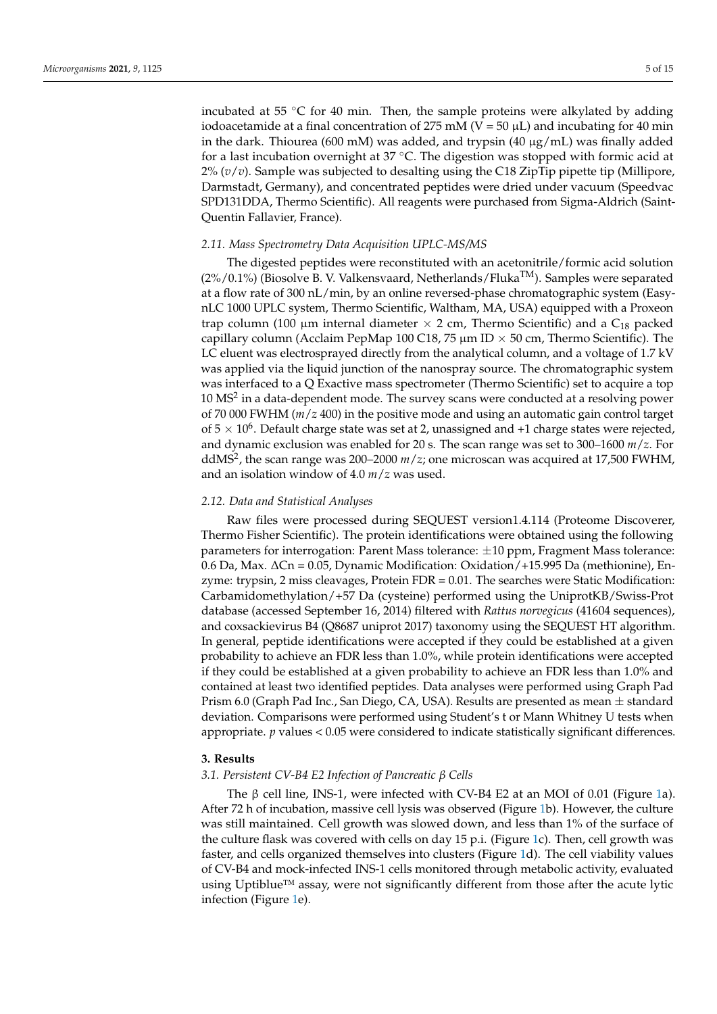incubated at 55  $\degree$ C for 40 min. Then, the sample proteins were alkylated by adding iodoacetamide at a final concentration of 275 mM ( $V = 50 \mu L$ ) and incubating for 40 min in the dark. Thiourea (600 mM) was added, and trypsin (40  $\mu$ g/mL) was finally added for a last incubation overnight at  $37 \degree C$ . The digestion was stopped with formic acid at 2% (*v*/*v*). Sample was subjected to desalting using the C18 ZipTip pipette tip (Millipore, Darmstadt, Germany), and concentrated peptides were dried under vacuum (Speedvac SPD131DDA, Thermo Scientific). All reagents were purchased from Sigma-Aldrich (Saint-Quentin Fallavier, France).

## *2.11. Mass Spectrometry Data Acquisition UPLC-MS/MS*

The digested peptides were reconstituted with an acetonitrile/formic acid solution  $(2\%/0.1\%)$  (Biosolve B. V. Valkensvaard, Netherlands/Fluka<sup>TM</sup>). Samples were separated at a flow rate of 300 nL/min, by an online reversed-phase chromatographic system (EasynLC 1000 UPLC system, Thermo Scientific, Waltham, MA, USA) equipped with a Proxeon trap column (100  $\mu$ m internal diameter  $\times$  2 cm, Thermo Scientific) and a C<sub>18</sub> packed capillary column (Acclaim PepMap 100 C18, 75  $\mu$ m ID  $\times$  50 cm, Thermo Scientific). The LC eluent was electrosprayed directly from the analytical column, and a voltage of 1.7 kV was applied via the liquid junction of the nanospray source. The chromatographic system was interfaced to a Q Exactive mass spectrometer (Thermo Scientific) set to acquire a top  $10 \text{ MS}^2$  in a data-dependent mode. The survey scans were conducted at a resolving power of 70 000 FWHM (*m*/*z* 400) in the positive mode and using an automatic gain control target of  $5 \times 10^6$ . Default charge state was set at 2, unassigned and +1 charge states were rejected, and dynamic exclusion was enabled for 20 s. The scan range was set to 300–1600 *m*/*z*. For ddMS<sup>2</sup> , the scan range was 200–2000 *m*/*z*; one microscan was acquired at 17,500 FWHM, and an isolation window of 4.0 *m*/*z* was used.

### *2.12. Data and Statistical Analyses*

Raw files were processed during SEQUEST version1.4.114 (Proteome Discoverer, Thermo Fisher Scientific). The protein identifications were obtained using the following parameters for interrogation: Parent Mass tolerance: ±10 ppm, Fragment Mass tolerance: 0.6 Da, Max. ∆Cn = 0.05, Dynamic Modification: Oxidation/+15.995 Da (methionine), Enzyme: trypsin, 2 miss cleavages, Protein FDR = 0.01. The searches were Static Modification: Carbamidomethylation/+57 Da (cysteine) performed using the UniprotKB/Swiss-Prot database (accessed September 16, 2014) filtered with *Rattus norvegicus* (41604 sequences), and coxsackievirus B4 (Q8687 uniprot 2017) taxonomy using the SEQUEST HT algorithm. In general, peptide identifications were accepted if they could be established at a given probability to achieve an FDR less than 1.0%, while protein identifications were accepted if they could be established at a given probability to achieve an FDR less than 1.0% and contained at least two identified peptides. Data analyses were performed using Graph Pad Prism 6.0 (Graph Pad Inc., San Diego, CA, USA). Results are presented as mean  $\pm$  standard deviation. Comparisons were performed using Student's t or Mann Whitney U tests when appropriate. *p* values < 0.05 were considered to indicate statistically significant differences.

#### **3. Results**

## *3.1. Persistent CV-B4 E2 Infection of Pancreatic β Cells*

The β cell line, INS-1, were infected with CV-B4 E2 at an MOI of 0.01 (Figure 1a). After 72 h of incubation, massive cell lysis was observed (Figure 1b). However, the culture was still maintained. Cell growth was slowed down, and less than 1% of the surface of the culture flask was covered with cells on day 15 p.i. (Figure 1c). Then, cell growth was faster, and cells organized themselves into clusters (Figure 1d). The cell viability values of CV-B4 and mock-infected INS-1 cells monitored through metabolic activity, evaluated using Uptiblue™ assay, were not significantly different from those after the acute lytic infection (Figure 1e).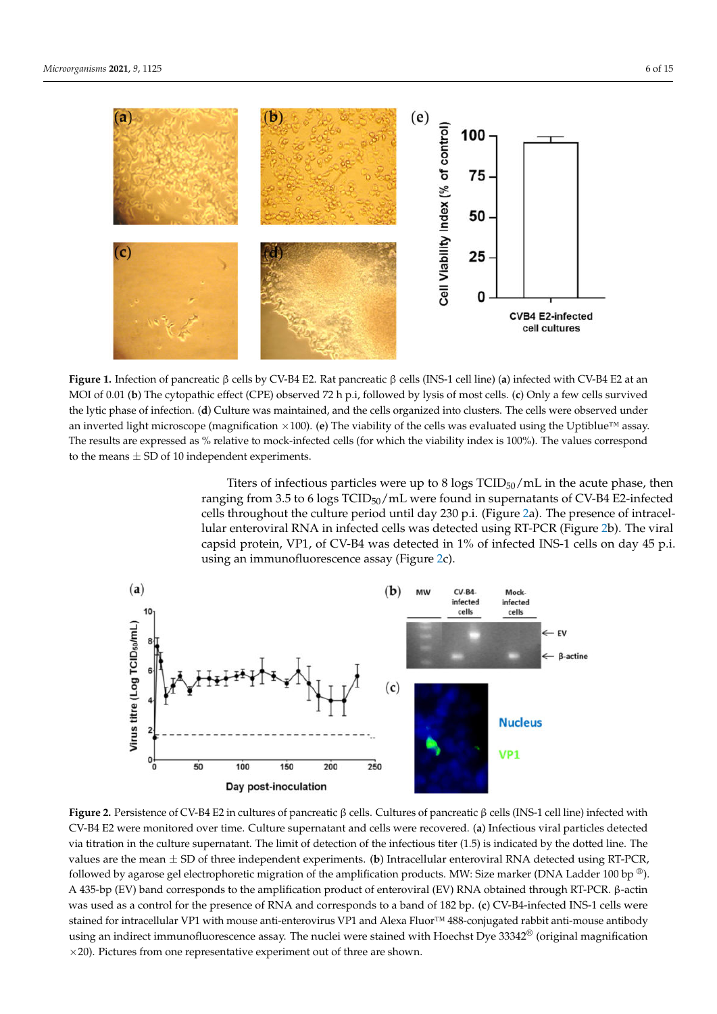

β β **Figure 1.** Infection of pancreatic β cells by CV-B4 E2. Rat pancreatic β cells (INS-1 cell line) (**a**) infected with CV-B4 E2 at an MOI of 0.01 (**b**) The cytopathic effect (CPE) observed 72 h p.i, followed by lysis of most cells. (**c**) Only a few cells survived the lytic phase of infection. (**d**) Culture was maintained, and the cells organized into clusters. The cells were observed under an inverted light microscope (magnification  $\times$ 100). (**e**) The viability of the cells was evaluated using the Uptiblue<sup>™</sup> assay. The results are expressed as % relative to mock-infected cells (for which the viability index is 100%). The values correspond to the means  $\pm$  SD of 10 independent experiments.

Titers of infectious particles were up to 8 logs  $TCID_{50}/mL$  in the acute phase, then ranging from 3.5 to 6 logs TCID<sub>50</sub>/mL were found in supernatants of CV-B4 E2-infected cells throughout the culture period until day 230 p.i. (Figure 2a). The presence of intracellular enteroviral RNA in infected cells was detected using RT-PCR (Figure 2b). The viral capsid protein, VP1, of CV-B4 was detected in 1% of infected INS-1 cells on day 45 p.i. using an immunofluorescence assay (Figure 2c).



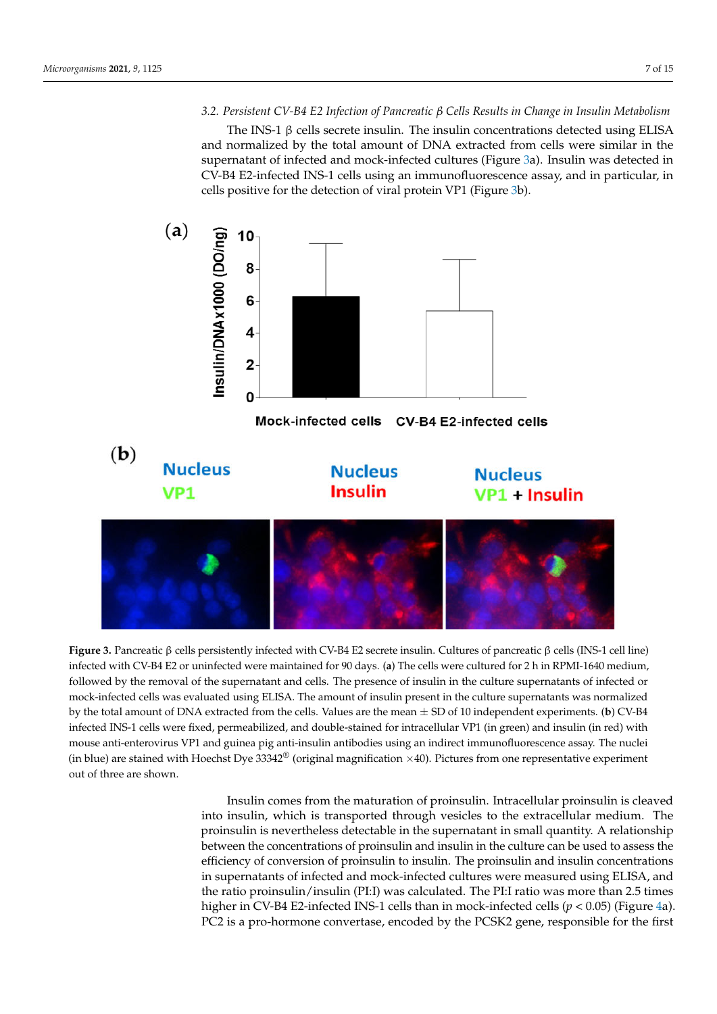*3.2. Persistent CV-B4 E2 Infection of Pancreatic β Cells Results in Change in Insulin Metabolism* β

*β*

The INS-1 β cells secrete insulin. The insulin concentrations detected using ELISA and normalized by the total amount of DNA extracted from cells were similar in the supernatant of infected and mock-infected cultures (Figure 3a). Insulin was detected in CV-B4 E2-infected INS-1 cells using an immunofluorescence assay, and in particular, in cells positive for the detection of viral protein VP1 (Figure 3b).



**Figure 3.** Pancreatic β cells persistently infected with CV-B4 E2 secrete insulin. Cultures of pancreatic β cells (INS-1 cell line) infected with CV-B4 E2 or uninfected were maintained for 90 days. (**a**) The cells were cultured for 2 h in RPMI-1640 medium, followed by the removal of the supernatant and cells. The presence of insulin in the culture supernatants of infected or mock-infected cells was evaluated using ELISA. The amount of insulin present in the culture supernatants was normalized by the total amount of DNA extracted from the cells. Values are the mean ± SD of 10 independent experiments. (**b**) CV-B4 infected INS-1 cells were fixed, permeabilized, and double-stained for intracellular VP1 (in green) and insulin (in red) with mouse anti-enterovirus VP1 and guinea pig anti-insulin antibodies using an indirect immunofluorescence assay. The nuclei (in blue) are stained with Hoechst Dye  $33342^{\circ}$  (original magnification  $\times$ 40). Pictures from one representative experiment out of three are shown.

Insulin comes from the maturation of proinsulin. Intracellular proinsulin is cleaved into insulin, which is transported through vesicles to the extracellular medium. The proinsulin is nevertheless detectable in the supernatant in small quantity. A relationship between the concentrations of proinsulin and insulin in the culture can be used to assess the efficiency of conversion of proinsulin to insulin. The proinsulin and insulin concentrations in supernatants of infected and mock-infected cultures were measured using ELISA, and the ratio proinsulin/insulin (PI:I) was calculated. The PI:I ratio was more than 2.5 times higher in CV-B4 E2-infected INS-1 cells than in mock-infected cells ( $p < 0.05$ ) (Figure 4a). PC2 is a pro-hormone convertase, encoded by the PCSK2 gene, responsible for the first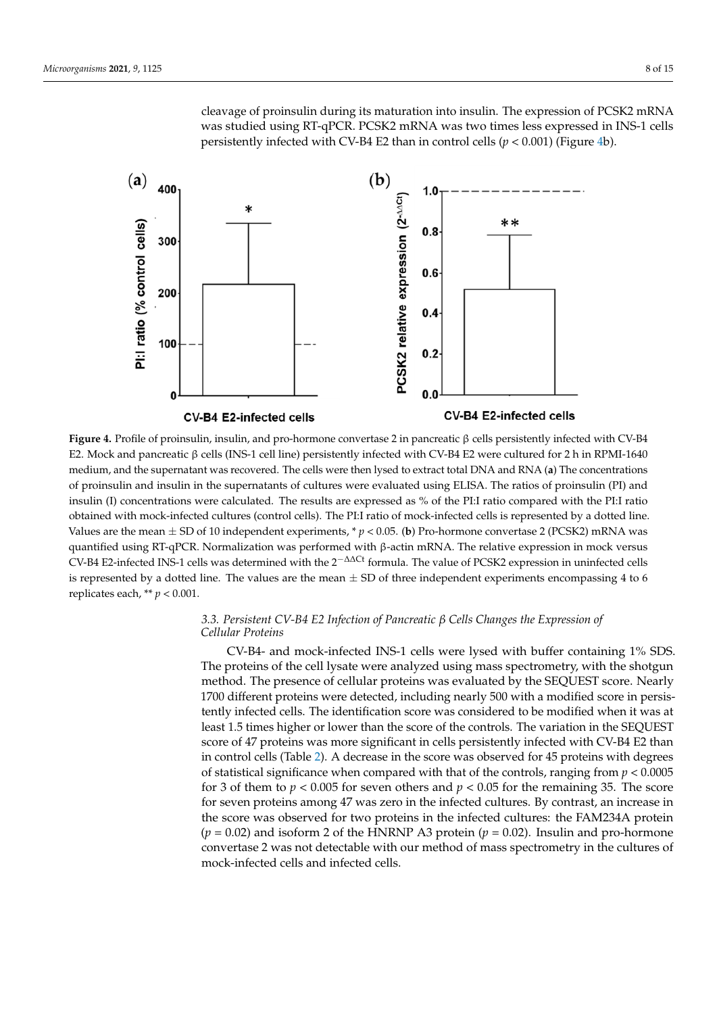cleavage of proinsulin during its maturation into insulin. The expression of PCSK2 mRNA was studied using RT-qPCR. PCSK2 mRNA was two times less expressed in INS-1 cells persistently infected with CV-B4 E2 than in control cells  $(p < 0.001)$  (Figure 4b).



 $\overline{a}$ β E2. Mock and pancreatic β cells (INS-1 cell line) persistently infected with CV-B4 E2 were cultured for 2 h in RPMI-1640 **Figure 4.** Profile of proinsulin, insulin, and pro-hormone convertase 2 in pancreatic β cells persistently infected with CV-B4 medium, and the supernatant was recovered. The cells were then lysed to extract total DNA and RNA (**a**) The concentrations of proinsulin and insulin in the supernatants of cultures were evaluated using ELISA. The ratios of proinsulin (PI) and insulin (I) concentrations were calculated. The results are expressed as % of the PI:I ratio compared with the PI:I ratio obtained with mock-infected cultures (control cells). The PI:I ratio of mock-infected cells is represented by a dotted line. Values are the mean ± SD of 10 independent experiments, \* *p* < 0.05. (**b**) Pro-hormone convertase 2 (PCSK2) mRNA was quantified using RT-qPCR. Normalization was performed with β-actin mRNA. The relative expression in mock versus CV-B4 E2-infected INS-1 cells was determined with the 2−∆∆Ct formula. The value of PCSK2 expression in uninfected cells is represented by a dotted line. The values are the mean  $\pm$  SD of three independent experiments encompassing 4 to 6 replicates each,  $** p < 0.001$ .

## *3.3. Persistent CV-B4 E2 Infection of Pancreatic β Cells Changes the Expression of Cellular Proteins*

CV-B4- and mock-infected INS-1 cells were lysed with buffer containing 1% SDS. The proteins of the cell lysate were analyzed using mass spectrometry, with the shotgun method. The presence of cellular proteins was evaluated by the SEQUEST score. Nearly 1700 different proteins were detected, including nearly 500 with a modified score in persistently infected cells. The identification score was considered to be modified when it was at least 1.5 times higher or lower than the score of the controls. The variation in the SEQUEST score of 47 proteins was more significant in cells persistently infected with CV-B4 E2 than in control cells (Table 2). A decrease in the score was observed for 45 proteins with degrees of statistical significance when compared with that of the controls, ranging from *p* < 0.0005 for 3 of them to  $p < 0.005$  for seven others and  $p < 0.05$  for the remaining 35. The score for seven proteins among 47 was zero in the infected cultures. By contrast, an increase in the score was observed for two proteins in the infected cultures: the FAM234A protein  $(p = 0.02)$  and isoform 2 of the HNRNP A3 protein  $(p = 0.02)$ . Insulin and pro-hormone convertase 2 was not detectable with our method of mass spectrometry in the cultures of mock-infected cells and infected cells.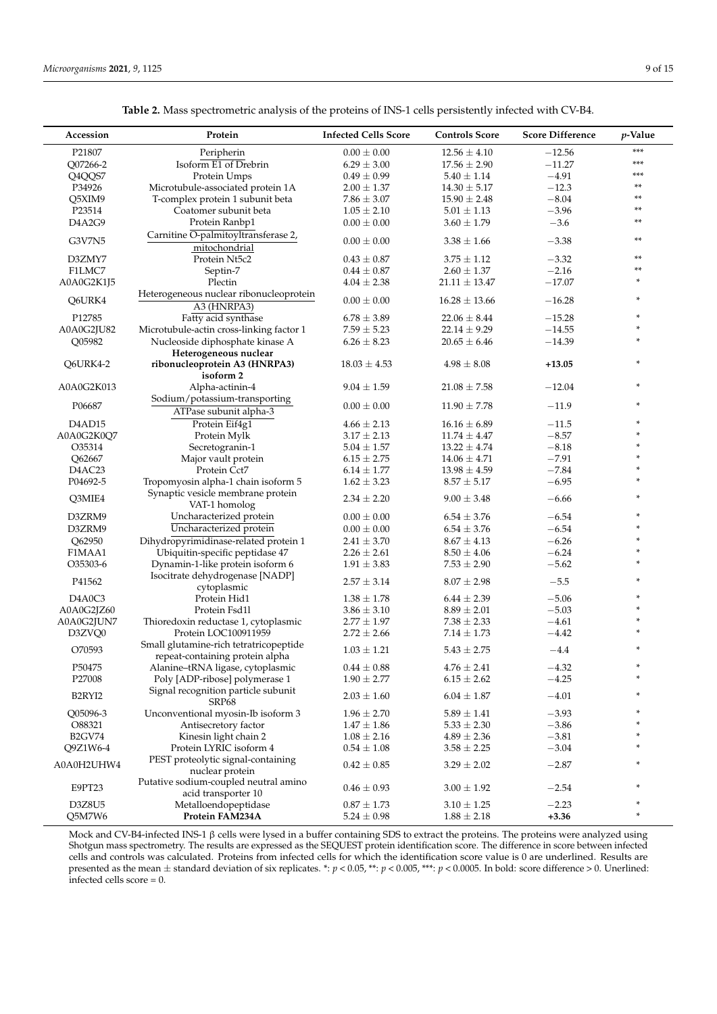| Accession                       | Protein                                                                   | <b>Infected Cells Score</b>        | <b>Controls Score</b>              | <b>Score Difference</b> | $p$ -Value |
|---------------------------------|---------------------------------------------------------------------------|------------------------------------|------------------------------------|-------------------------|------------|
| P21807                          | Peripherin                                                                | $0.00 \pm 0.00$                    | $12.56 \pm 4.10$                   | $-12.56$                | ***        |
| Q07266-2                        | Isoform E1 of Drebrin                                                     | $6.29 \pm 3.00$                    | $17.56 \pm 2.90$                   | $-11.27$                | ***        |
| Q4QQS7                          | Protein Umps                                                              | $0.49 \pm 0.99$                    | $5.40 \pm 1.14$                    | $-4.91$                 | ***        |
| P34926                          | Microtubule-associated protein 1A                                         | $2.00 \pm 1.37$                    | $14.30 \pm 5.17$                   | $-12.3$                 | **         |
| Q5XIM9                          | T-complex protein 1 subunit beta                                          | $7.86 \pm 3.07$                    | $15.90 \pm 2.48$                   | $-8.04$                 | **         |
| P23514                          | Coatomer subunit beta                                                     | $1.05 \pm 2.10$                    | $5.01 \pm 1.13$                    | $-3.96$                 | **         |
| D4A2G9                          | Protein Ranbp1                                                            | $0.00 \pm 0.00$                    | $3.60 \pm 1.79$                    | $-3.6$                  | **         |
| G3V7N5                          | Carnitine O-palmitoyltransferase 2,<br>mitochondrial                      | $0.00 \pm 0.00$                    | $3.38 \pm 1.66$                    | $-3.38$                 | **         |
| D3ZMY7                          | Protein Nt5c2                                                             | $0.43 \pm 0.87$                    | $3.75 \pm 1.12$                    | $-3.32$                 | **         |
| F1LMC7                          | Septin-7                                                                  | $0.44 \pm 0.87$                    | $2.60 \pm 1.37$                    | $-2.16$                 | **         |
| A0A0G2K1J5                      | Plectin                                                                   | $4.04\,\pm\,2.38$                  | $21.11 \pm 13.47$                  | $-17.07$                | *          |
|                                 | Heterogeneous nuclear ribonucleoprotein                                   |                                    |                                    |                         |            |
| Q6URK4                          | A3 (HNRPA3)                                                               | $0.00 \pm 0.00$                    | $16.28 \pm 13.66$                  | $-16.28$                | *          |
| P12785                          | Fatty acid synthase                                                       | $6.78 \pm 3.89$                    | $22.06 \pm 8.44$                   | $-15.28$                | *          |
| A0A0G2JU82                      | Microtubule-actin cross-linking factor 1                                  | $7.59 \pm 5.23$                    | $22.14 \pm 9.29$                   | $-14.55$                | *          |
| Q05982                          | Nucleoside diphosphate kinase A                                           | $6.26 \pm 8.23$                    | $20.65 \pm 6.46$                   | $-14.39$                |            |
|                                 | Heterogeneous nuclear                                                     |                                    |                                    |                         |            |
| Q6URK4-2                        | ribonucleoprotein A3 (HNRPA3)                                             | $18.03 \pm 4.53$                   | $4.98 \pm 8.08$                    | $+13.05$                | *          |
|                                 | isoform <sub>2</sub>                                                      |                                    |                                    |                         |            |
| A0A0G2K013                      | Alpha-actinin-4                                                           | $9.04 \pm 1.59$                    | $21.08 \pm 7.58$                   | $-12.04$                | *          |
| P06687                          | Sodium/potassium-transporting                                             | $0.00 \pm 0.00$                    | $11.90 \pm 7.78$                   | $-11.9$                 |            |
|                                 | ATPase subunit alpha-3                                                    |                                    |                                    |                         |            |
| D <sub>4</sub> AD <sub>15</sub> | Protein Eif4g1                                                            | $4.66 \pm 2.13$                    | $16.16 \pm 6.89$                   | $-11.5$                 | ×          |
| A0A0G2K0Q7                      | Protein Mylk                                                              | $3.17 \pm 2.13$                    | $11.74 \pm 4.47$                   | $-8.57$                 |            |
| O35314                          | Secretogranin-1                                                           | $5.04 \pm 1.57$                    | $13.22 \pm 4.74$                   | $-8.18$                 |            |
| Q62667                          | Major vault protein                                                       | $6.15 \pm 2.75$                    | $14.06 \pm 4.71$                   | $-7.91$                 | ×          |
| D <sub>4</sub> AC <sub>23</sub> | Protein Cct7                                                              | $6.14 \pm 1.77$                    | $13.98 \pm 4.59$                   | $-7.84$                 | *          |
| P04692-5                        | Tropomyosin alpha-1 chain isoform 5                                       | $1.62 \pm 3.23$                    | $8.57 \pm 5.17$                    | $-6.95$                 |            |
| Q3MIE4                          | Synaptic vesicle membrane protein<br>VAT-1 homolog                        | $2.34 \pm 2.20$                    | $9.00 \pm 3.48$                    | $-6.66$                 | *          |
| D3ZRM9                          | Uncharacterized protein                                                   | $0.00 \pm 0.00$                    | $6.54 \pm 3.76$                    | $-6.54$                 | *          |
| D3ZRM9                          | Uncharacterized protein                                                   | $0.00 \pm 0.00$                    | $6.54 \pm 3.76$                    | $-6.54$                 |            |
| Q62950                          | Dihydropyrimidinase-related protein 1                                     | $2.41 \pm 3.70$                    | $8.67 \pm 4.13$                    | $-6.26$                 |            |
| F1MAA1                          |                                                                           |                                    |                                    | $-6.24$                 | ×          |
| O35303-6                        | Ubiquitin-specific peptidase 47<br>Dynamin-1-like protein isoform 6       | $2.26 \pm 2.61$<br>$1.91 \pm 3.83$ | $8.50 \pm 4.06$<br>$7.53 \pm 2.90$ | $-5.62$                 | *          |
|                                 | Isocitrate dehydrogenase [NADP]                                           |                                    |                                    |                         |            |
| P41562                          | cytoplasmic                                                               | $2.57 \pm 3.14$                    | $8.07 \pm 2.98$                    | $-5.5$                  | ×          |
| D <sub>4</sub> A0C <sub>3</sub> | Protein Hid1                                                              | $1.38 \pm 1.78$                    | $6.44 \pm 2.39$                    | $-5.06$                 |            |
| A0A0G2JZ60                      | Protein Fsd1l                                                             | $3.86 \pm 3.10$                    | $8.89 \pm 2.01$                    | $-5.03$                 | ×          |
| A0A0G2JUN7                      | Thioredoxin reductase 1, cytoplasmic                                      | $2.77 \pm 1.97$                    | $7.38 \pm 2.33$                    | $-4.61$                 | *          |
| D3ZVQ0                          | Protein LOC100911959                                                      | $2.72 \pm 2.66$                    | $7.14 \pm 1.73$                    | $-4.42$                 |            |
| O70593                          | Small glutamine-rich tetratricopeptide<br>repeat-containing protein alpha | $1.03 \pm 1.21$                    | $5.43 \pm 2.75$                    | $-4.4$                  | *          |
| P50475                          | Alanine-tRNA ligase, cytoplasmic                                          | $0.44\pm0.88$                      | $4.76\pm2.41$                      | $-4.32$                 | *          |
| P27008                          | Poly [ADP-ribose] polymerase 1                                            | $1.90 \pm 2.77$                    | $6.15 \pm 2.62$                    | $-4.25$                 | *          |
| B2RYI2                          | Signal recognition particle subunit<br>SRP <sub>68</sub>                  | $2.03 \pm 1.60$                    | $6.04 \pm 1.87$                    | $-4.01$                 |            |
| O05096-3                        | Unconventional myosin-Ib isoform 3                                        | $1.96 \pm 2.70$                    | $5.89 \pm 1.41$                    | $-3.93$                 |            |
| O88321                          | Antisecretory factor                                                      | $1.47 \pm 1.86$                    | $5.33 \pm 2.30$                    | $-3.86$                 |            |
| <b>B2GV74</b>                   | Kinesin light chain 2                                                     | $1.08 \pm 2.16$                    | $4.89 \pm 2.36$                    | $-3.81$                 |            |
| Q9Z1W6-4                        | Protein LYRIC isoform 4                                                   | $0.54 \pm 1.08$                    | $3.58 \pm 2.25$                    | $-3.04$                 |            |
|                                 | PEST proteolytic signal-containing                                        |                                    |                                    |                         |            |
| A0A0H2UHW4                      | nuclear protein                                                           | $0.42 \pm 0.85$                    | $3.29 \pm 2.02$                    | $-2.87$                 |            |
| E9PT23                          | Putative sodium-coupled neutral amino<br>acid transporter 10              | $0.46 \pm 0.93$                    | $3.00 \pm 1.92$                    | $-2.54$                 |            |
| D3Z8U5                          | Metalloendopeptidase                                                      | $0.87 \pm 1.73$                    | $3.10 \pm 1.25$                    | $-2.23$                 |            |
| Q5M7W6                          | Protein FAM234A                                                           | $5.24 \pm 0.98$                    | $1.88 \pm 2.18$                    | $+3.36$                 | ×.         |
|                                 |                                                                           |                                    |                                    |                         |            |

**Table 2.** Mass spectrometric analysis of the proteins of INS-1 cells persistently infected with CV-B4.

Mock and CV-B4-infected INS-1 β cells were lysed in a buffer containing SDS to extract the proteins. The proteins were analyzed using Shotgun mass spectrometry. The results are expressed as the SEQUEST protein identification score. The difference in score between infected cells and controls was calculated. Proteins from infected cells for which the identification score value is 0 are underlined. Results are presented as the mean ± standard deviation of six replicates. \*: *p* < 0.05, \*\*: *p* < 0.005, \*\*\*: *p* < 0.0005. In bold: score difference > 0. Unerlined: infected cells score = 0.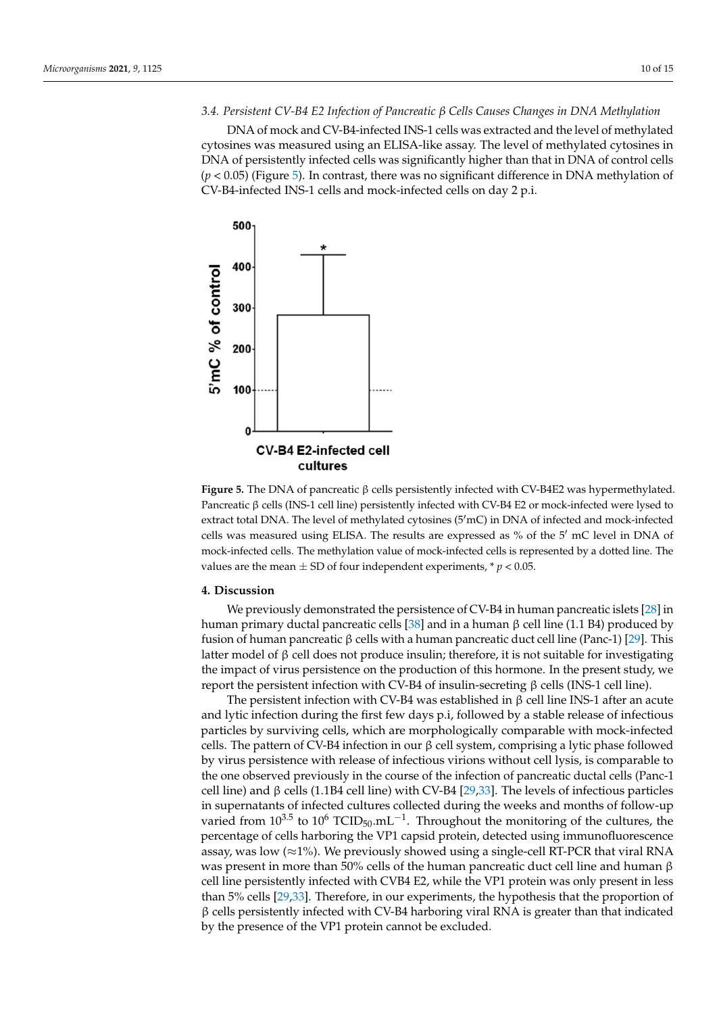## *3.4. Persistent CV-B4 E2 Infection of Pancreatic β Cells Causes Changes in DNA Methylation*

DNA of mock and CV-B4-infected INS-1 cells was extracted and the level of methylated cytosines was measured using an ELISA-like assay. The level of methylated cytosines in DNA of persistently infected cells was significantly higher than that in DNA of control cells (*p* < 0.05) (Figure 5). In contrast, there was no significant difference in DNA methylation of CV-B4-infected INS-1 cells and mock-infected cells on day 2 p.i.



β **Figure 5.** The DNA of pancreatic β cells persistently infected with CV-B4E2 was hypermethylated. Pancreatic β cells (INS-1 cell line) persistently infected with CV-B4 E2 or mock-infected were lysed to extract total DNA. The level of methylated cytosines (5'mC) in DNA of infected and mock-infected cells was measured using ELISA. The results are expressed as % of the 5' mC level in DNA of mock-infected cells. The methylation value of mock-infected cells is represented by a dotted line. The values are the mean  $\pm$  SD of four independent experiments,  $* p < 0.05$ .

#### **4. Discussion**

human primary ductal pancreatic cells [38] and in a human β cell line (1.1 B4) produced by fusion of human pancreatic β cells with a human pancreatic duct cell line (Panc-1) [29]. This latter model of  $\beta$  cell does not produce insulin; therefore, it is not suitable for investigating report the persistent infection with CV-B4 of insulin-secreting β cells (INS-1 cell line). We previously demonstrated the persistence of CV-B4 in human pancreatic islets [28] in the impact of virus persistence on the production of this hormone. In the present study, we

and lytic infection during the first few days p.i, followed by a stable release of infectious by virus persistence with release of infectious virions without cell lysis, is comparable to  $\mu$  varied from  $10^{3.5}$  to  $10^6$  TCID<sub>50</sub>.mL<sup>-1</sup>. Throughout the monitoring of the cultures, the − percentage of cells harboring the VP1 capsid protein, detected using immunofluorescence was present in these than so to cent of the natural participate date cent the and natural post-<br>cell line persistently infected with CVB4 E2, while the VP1 protein was only present in less β than 5% cells [29,33]. Therefore, in our experiments, the hypothesis that the proportion of by the presence of the VP1 protein cannot be excluded. The persistent infection with CV-B4 was established in  $\beta$  cell line INS-1 after an acute particles by surviving cells, which are morphologically comparable with mock-infected cells. The pattern of CV-B4 infection in our β cell system, comprising a lytic phase followed the one observed previously in the course of the infection of pancreatic ductal cells (Panc-1 cell line) and β cells (1.1B4 cell line) with CV-B4 [29,33]. The levels of infectious particles in supernatants of infected cultures collected during the weeks and months of follow-up assay, was low ( $\approx$ 1%). We previously showed using a single-cell RT-PCR that viral RNA was present in more than 50% cells of the human pancreatic duct cell line and human β  $\beta$  cells persistently infected with CV-B4 harboring viral RNA is greater than that indicated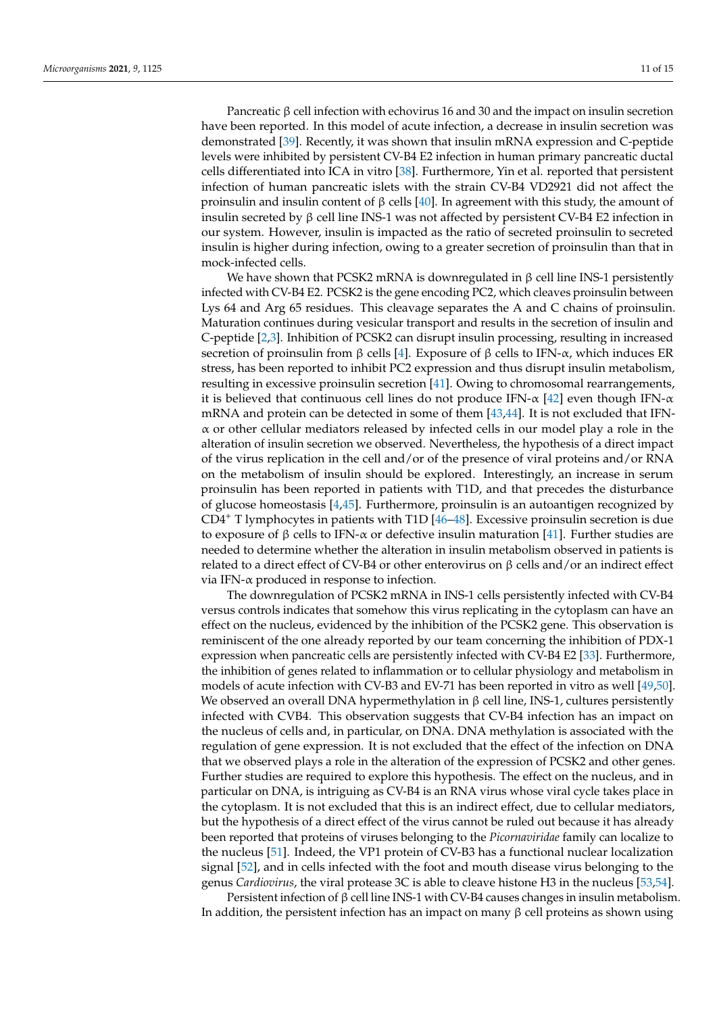Pancreatic  $β$  cell infection with echovirus 16 and 30 and the impact on insulin secretion have been reported. In this model of acute infection, a decrease in insulin secretion was demonstrated [39]. Recently, it was shown that insulin mRNA expression and C-peptide levels were inhibited by persistent CV-B4 E2 infection in human primary pancreatic ductal cells differentiated into ICA in vitro [38]. Furthermore, Yin et al. reported that persistent infection of human pancreatic islets with the strain CV-B4 VD2921 did not affect the proinsulin and insulin content of β cells [40]. In agreement with this study, the amount of insulin secreted by β cell line INS-1 was not affected by persistent CV-B4 E2 infection in our system. However, insulin is impacted as the ratio of secreted proinsulin to secreted insulin is higher during infection, owing to a greater secretion of proinsulin than that in mock-infected cells.

We have shown that PCSK2 mRNA is downregulated in  $β$  cell line INS-1 persistently infected with CV-B4 E2. PCSK2 is the gene encoding PC2, which cleaves proinsulin between Lys 64 and Arg 65 residues. This cleavage separates the A and C chains of proinsulin. Maturation continues during vesicular transport and results in the secretion of insulin and C-peptide [2,3]. Inhibition of PCSK2 can disrupt insulin processing, resulting in increased secretion of proinsulin from β cells [4]. Exposure of β cells to IFN- $\alpha$ , which induces ER stress, has been reported to inhibit PC2 expression and thus disrupt insulin metabolism, resulting in excessive proinsulin secretion [41]. Owing to chromosomal rearrangements, it is believed that continuous cell lines do not produce IFN- $\alpha$  [42] even though IFN- $\alpha$ mRNA and protein can be detected in some of them [43,44]. It is not excluded that IFN- $\alpha$  or other cellular mediators released by infected cells in our model play a role in the alteration of insulin secretion we observed. Nevertheless, the hypothesis of a direct impact of the virus replication in the cell and/or of the presence of viral proteins and/or RNA on the metabolism of insulin should be explored. Interestingly, an increase in serum proinsulin has been reported in patients with T1D, and that precedes the disturbance of glucose homeostasis [4,45]. Furthermore, proinsulin is an autoantigen recognized by  $CD4^+$  T lymphocytes in patients with T1D [46–48]. Excessive proinsulin secretion is due to exposure of β cells to IFN- $\alpha$  or defective insulin maturation [41]. Further studies are needed to determine whether the alteration in insulin metabolism observed in patients is related to a direct effect of CV-B4 or other enterovirus on  $β$  cells and/or an indirect effect via IFN-α produced in response to infection.

The downregulation of PCSK2 mRNA in INS-1 cells persistently infected with CV-B4 versus controls indicates that somehow this virus replicating in the cytoplasm can have an effect on the nucleus, evidenced by the inhibition of the PCSK2 gene. This observation is reminiscent of the one already reported by our team concerning the inhibition of PDX-1 expression when pancreatic cells are persistently infected with CV-B4 E2 [33]. Furthermore, the inhibition of genes related to inflammation or to cellular physiology and metabolism in models of acute infection with CV-B3 and EV-71 has been reported in vitro as well [49,50]. We observed an overall DNA hypermethylation in  $\beta$  cell line, INS-1, cultures persistently infected with CVB4. This observation suggests that CV-B4 infection has an impact on the nucleus of cells and, in particular, on DNA. DNA methylation is associated with the regulation of gene expression. It is not excluded that the effect of the infection on DNA that we observed plays a role in the alteration of the expression of PCSK2 and other genes. Further studies are required to explore this hypothesis. The effect on the nucleus, and in particular on DNA, is intriguing as CV-B4 is an RNA virus whose viral cycle takes place in the cytoplasm. It is not excluded that this is an indirect effect, due to cellular mediators, but the hypothesis of a direct effect of the virus cannot be ruled out because it has already been reported that proteins of viruses belonging to the *Picornaviridae* family can localize to the nucleus [51]. Indeed, the VP1 protein of CV-B3 has a functional nuclear localization signal [52], and in cells infected with the foot and mouth disease virus belonging to the genus *Cardiovirus*, the viral protease 3C is able to cleave histone H3 in the nucleus [53,54].

Persistent infection of β cell line INS-1 with CV-B4 causes changes in insulin metabolism. In addition, the persistent infection has an impact on many  $β$  cell proteins as shown using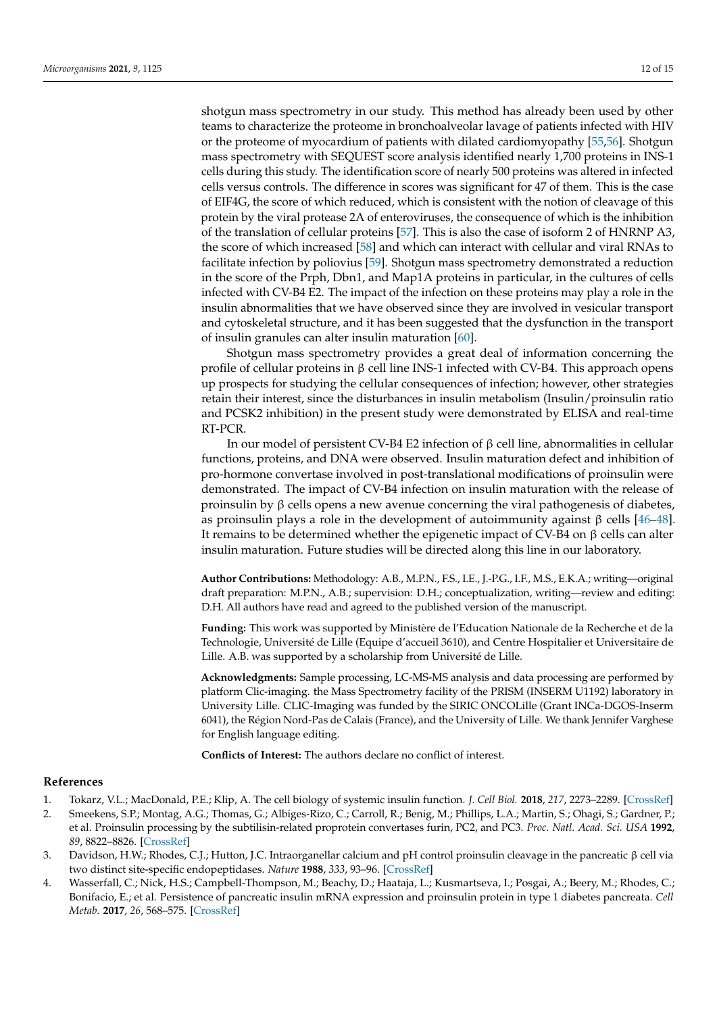shotgun mass spectrometry in our study. This method has already been used by other teams to characterize the proteome in bronchoalveolar lavage of patients infected with HIV or the proteome of myocardium of patients with dilated cardiomyopathy [55,56]. Shotgun mass spectrometry with SEQUEST score analysis identified nearly 1,700 proteins in INS-1 cells during this study. The identification score of nearly 500 proteins was altered in infected cells versus controls. The difference in scores was significant for 47 of them. This is the case of EIF4G, the score of which reduced, which is consistent with the notion of cleavage of this protein by the viral protease 2A of enteroviruses, the consequence of which is the inhibition of the translation of cellular proteins [57]. This is also the case of isoform 2 of HNRNP A3, the score of which increased [58] and which can interact with cellular and viral RNAs to facilitate infection by poliovius [59]. Shotgun mass spectrometry demonstrated a reduction in the score of the Prph, Dbn1, and Map1A proteins in particular, in the cultures of cells infected with CV-B4 E2. The impact of the infection on these proteins may play a role in the insulin abnormalities that we have observed since they are involved in vesicular transport and cytoskeletal structure, and it has been suggested that the dysfunction in the transport of insulin granules can alter insulin maturation [60].

Shotgun mass spectrometry provides a great deal of information concerning the profile of cellular proteins in β cell line INS-1 infected with CV-B4. This approach opens up prospects for studying the cellular consequences of infection; however, other strategies retain their interest, since the disturbances in insulin metabolism (Insulin/proinsulin ratio and PCSK2 inhibition) in the present study were demonstrated by ELISA and real-time RT-PCR.

In our model of persistent CV-B4 E2 infection of β cell line, abnormalities in cellular functions, proteins, and DNA were observed. Insulin maturation defect and inhibition of pro-hormone convertase involved in post-translational modifications of proinsulin were demonstrated. The impact of CV-B4 infection on insulin maturation with the release of proinsulin by β cells opens a new avenue concerning the viral pathogenesis of diabetes, as proinsulin plays a role in the development of autoimmunity against  $β$  cells [46–48]. It remains to be determined whether the epigenetic impact of CV-B4 on β cells can alter insulin maturation. Future studies will be directed along this line in our laboratory.

**Author Contributions:** Methodology: A.B., M.P.N., F.S., I.E., J.-P.G., I.F., M.S., E.K.A.; writing—original draft preparation: M.P.N., A.B.; supervision: D.H.; conceptualization, writing—review and editing: D.H. All authors have read and agreed to the published version of the manuscript.

**Funding:** This work was supported by Ministère de l'Education Nationale de la Recherche et de la Technologie, Université de Lille (Equipe d'accueil 3610), and Centre Hospitalier et Universitaire de Lille. A.B. was supported by a scholarship from Université de Lille.

**Acknowledgments:** Sample processing, LC-MS-MS analysis and data processing are performed by platform Clic-imaging. the Mass Spectrometry facility of the PRISM (INSERM U1192) laboratory in University Lille. CLIC-Imaging was funded by the SIRIC ONCOLille (Grant INCa-DGOS-Inserm 6041), the Région Nord-Pas de Calais (France), and the University of Lille. We thank Jennifer Varghese for English language editing.

**Conflicts of Interest:** The authors declare no conflict of interest.

#### **References**

- 1. Tokarz, V.L.; MacDonald, P.E.; Klip, A. The cell biology of systemic insulin function. *J. Cell Biol.* **2018**, *217*, 2273–2289. [CrossRef]
- 2. Smeekens, S.P.; Montag, A.G.; Thomas, G.; Albiges-Rizo, C.; Carroll, R.; Benig, M.; Phillips, L.A.; Martin, S.; Ohagi, S.; Gardner, P.; et al. Proinsulin processing by the subtilisin-related proprotein convertases furin, PC2, and PC3. *Proc. Natl. Acad. Sci. USA* **1992**, *89*, 8822–8826. [CrossRef]
- 3. Davidson, H.W.; Rhodes, C.J.; Hutton, J.C. Intraorganellar calcium and pH control proinsulin cleavage in the pancreatic β cell via two distinct site-specific endopeptidases. *Nature* **1988**, *333*, 93–96. [CrossRef]
- 4. Wasserfall, C.; Nick, H.S.; Campbell-Thompson, M.; Beachy, D.; Haataja, L.; Kusmartseva, I.; Posgai, A.; Beery, M.; Rhodes, C.; Bonifacio, E.; et al. Persistence of pancreatic insulin mRNA expression and proinsulin protein in type 1 diabetes pancreata. *Cell Metab.* **2017**, *26*, 568–575. [CrossRef]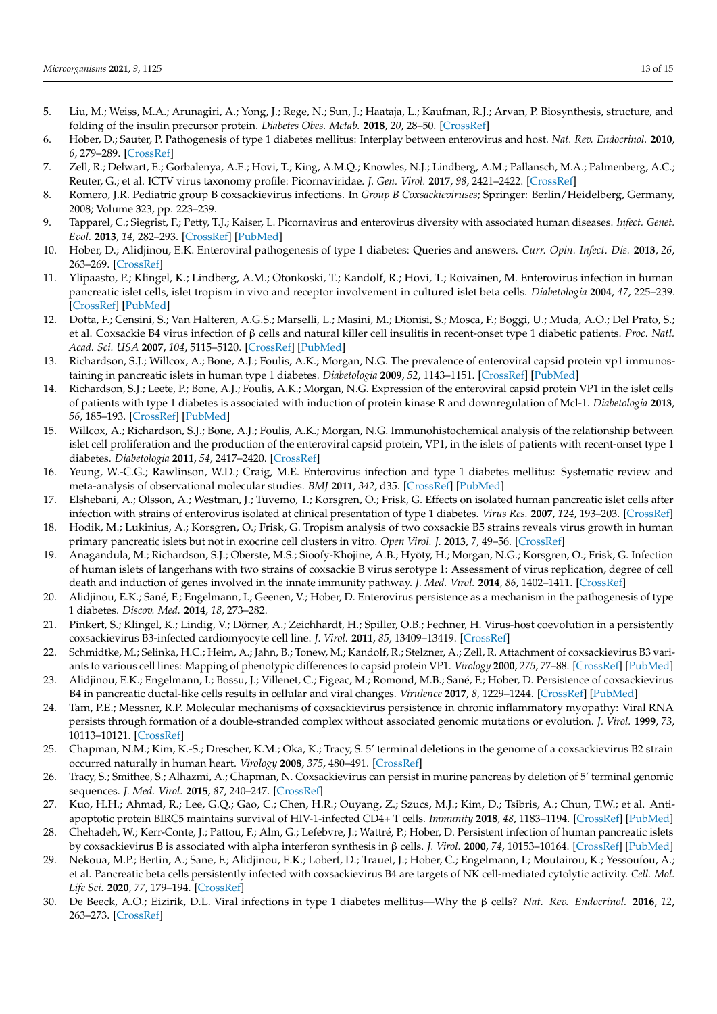- 5. Liu, M.; Weiss, M.A.; Arunagiri, A.; Yong, J.; Rege, N.; Sun, J.; Haataja, L.; Kaufman, R.J.; Arvan, P. Biosynthesis, structure, and folding of the insulin precursor protein. *Diabetes Obes. Metab.* **2018**, *20*, 28–50. [CrossRef]
- 6. Hober, D.; Sauter, P. Pathogenesis of type 1 diabetes mellitus: Interplay between enterovirus and host. *Nat. Rev. Endocrinol.* **2010**, *6*, 279–289. [CrossRef]
- 7. Zell, R.; Delwart, E.; Gorbalenya, A.E.; Hovi, T.; King, A.M.Q.; Knowles, N.J.; Lindberg, A.M.; Pallansch, M.A.; Palmenberg, A.C.; Reuter, G.; et al. ICTV virus taxonomy profile: Picornaviridae. *J. Gen. Virol.* **2017**, *98*, 2421–2422. [CrossRef]
- 8. Romero, J.R. Pediatric group B coxsackievirus infections. In *Group B Coxsackieviruses*; Springer: Berlin/Heidelberg, Germany, 2008; Volume 323, pp. 223–239.
- 9. Tapparel, C.; Siegrist, F.; Petty, T.J.; Kaiser, L. Picornavirus and enterovirus diversity with associated human diseases. *Infect. Genet. Evol.* **2013**, *14*, 282–293. [CrossRef] [PubMed]
- 10. Hober, D.; Alidjinou, E.K. Enteroviral pathogenesis of type 1 diabetes: Queries and answers. *Curr. Opin. Infect. Dis.* **2013**, *26*, 263–269. [CrossRef]
- 11. Ylipaasto, P.; Klingel, K.; Lindberg, A.M.; Otonkoski, T.; Kandolf, R.; Hovi, T.; Roivainen, M. Enterovirus infection in human pancreatic islet cells, islet tropism in vivo and receptor involvement in cultured islet beta cells. *Diabetologia* **2004**, *47*, 225–239. [CrossRef] [PubMed]
- 12. Dotta, F.; Censini, S.; Van Halteren, A.G.S.; Marselli, L.; Masini, M.; Dionisi, S.; Mosca, F.; Boggi, U.; Muda, A.O.; Del Prato, S.; et al. Coxsackie B4 virus infection of β cells and natural killer cell insulitis in recent-onset type 1 diabetic patients. *Proc. Natl. Acad. Sci. USA* **2007**, *104*, 5115–5120. [CrossRef] [PubMed]
- 13. Richardson, S.J.; Willcox, A.; Bone, A.J.; Foulis, A.K.; Morgan, N.G. The prevalence of enteroviral capsid protein vp1 immunostaining in pancreatic islets in human type 1 diabetes. *Diabetologia* **2009**, *52*, 1143–1151. [CrossRef] [PubMed]
- 14. Richardson, S.J.; Leete, P.; Bone, A.J.; Foulis, A.K.; Morgan, N.G. Expression of the enteroviral capsid protein VP1 in the islet cells of patients with type 1 diabetes is associated with induction of protein kinase R and downregulation of Mcl-1. *Diabetologia* **2013**, *56*, 185–193. [CrossRef] [PubMed]
- 15. Willcox, A.; Richardson, S.J.; Bone, A.J.; Foulis, A.K.; Morgan, N.G. Immunohistochemical analysis of the relationship between islet cell proliferation and the production of the enteroviral capsid protein, VP1, in the islets of patients with recent-onset type 1 diabetes. *Diabetologia* **2011**, *54*, 2417–2420. [CrossRef]
- 16. Yeung, W.-C.G.; Rawlinson, W.D.; Craig, M.E. Enterovirus infection and type 1 diabetes mellitus: Systematic review and meta-analysis of observational molecular studies. *BMJ* **2011**, *342*, d35. [CrossRef] [PubMed]
- 17. Elshebani, A.; Olsson, A.; Westman, J.; Tuvemo, T.; Korsgren, O.; Frisk, G. Effects on isolated human pancreatic islet cells after infection with strains of enterovirus isolated at clinical presentation of type 1 diabetes. *Virus Res.* **2007**, *124*, 193–203. [CrossRef]
- 18. Hodik, M.; Lukinius, A.; Korsgren, O.; Frisk, G. Tropism analysis of two coxsackie B5 strains reveals virus growth in human primary pancreatic islets but not in exocrine cell clusters in vitro. *Open Virol. J.* **2013**, *7*, 49–56. [CrossRef]
- 19. Anagandula, M.; Richardson, S.J.; Oberste, M.S.; Sioofy-Khojine, A.B.; Hyöty, H.; Morgan, N.G.; Korsgren, O.; Frisk, G. Infection of human islets of langerhans with two strains of coxsackie B virus serotype 1: Assessment of virus replication, degree of cell death and induction of genes involved in the innate immunity pathway. *J. Med. Virol.* **2014**, *86*, 1402–1411. [CrossRef]
- 20. Alidjinou, E.K.; Sané, F.; Engelmann, I.; Geenen, V.; Hober, D. Enterovirus persistence as a mechanism in the pathogenesis of type 1 diabetes. *Discov. Med.* **2014**, *18*, 273–282.
- 21. Pinkert, S.; Klingel, K.; Lindig, V.; Dörner, A.; Zeichhardt, H.; Spiller, O.B.; Fechner, H. Virus-host coevolution in a persistently coxsackievirus B3-infected cardiomyocyte cell line. *J. Virol.* **2011**, *85*, 13409–13419. [CrossRef]
- 22. Schmidtke, M.; Selinka, H.C.; Heim, A.; Jahn, B.; Tonew, M.; Kandolf, R.; Stelzner, A.; Zell, R. Attachment of coxsackievirus B3 variants to various cell lines: Mapping of phenotypic differences to capsid protein VP1. *Virology* **2000**, *275*, 77–88. [CrossRef] [PubMed]
- 23. Alidjinou, E.K.; Engelmann, I.; Bossu, J.; Villenet, C.; Figeac, M.; Romond, M.B.; Sané, F.; Hober, D. Persistence of coxsackievirus B4 in pancreatic ductal-like cells results in cellular and viral changes. *Virulence* **2017**, *8*, 1229–1244. [CrossRef] [PubMed]
- 24. Tam, P.E.; Messner, R.P. Molecular mechanisms of coxsackievirus persistence in chronic inflammatory myopathy: Viral RNA persists through formation of a double-stranded complex without associated genomic mutations or evolution. *J. Virol.* **1999**, *73*, 10113–10121. [CrossRef]
- 25. Chapman, N.M.; Kim, K.-S.; Drescher, K.M.; Oka, K.; Tracy, S. 5' terminal deletions in the genome of a coxsackievirus B2 strain occurred naturally in human heart. *Virology* **2008**, *375*, 480–491. [CrossRef]
- 26. Tracy, S.; Smithee, S.; Alhazmi, A.; Chapman, N. Coxsackievirus can persist in murine pancreas by deletion of 5' terminal genomic sequences. *J. Med. Virol.* **2015**, *87*, 240–247. [CrossRef]
- 27. Kuo, H.H.; Ahmad, R.; Lee, G.Q.; Gao, C.; Chen, H.R.; Ouyang, Z.; Szucs, M.J.; Kim, D.; Tsibris, A.; Chun, T.W.; et al. Antiapoptotic protein BIRC5 maintains survival of HIV-1-infected CD4+ T cells. *Immunity* **2018**, *48*, 1183–1194. [CrossRef] [PubMed]
- 28. Chehadeh, W.; Kerr-Conte, J.; Pattou, F.; Alm, G.; Lefebvre, J.; Wattré, P.; Hober, D. Persistent infection of human pancreatic islets by coxsackievirus B is associated with alpha interferon synthesis in β cells. *J. Virol.* **2000**, *74*, 10153–10164. [CrossRef] [PubMed]
- 29. Nekoua, M.P.; Bertin, A.; Sane, F.; Alidjinou, E.K.; Lobert, D.; Trauet, J.; Hober, C.; Engelmann, I.; Moutairou, K.; Yessoufou, A.; et al. Pancreatic beta cells persistently infected with coxsackievirus B4 are targets of NK cell-mediated cytolytic activity. *Cell. Mol. Life Sci.* **2020**, *77*, 179–194. [CrossRef]
- 30. De Beeck, A.O.; Eizirik, D.L. Viral infections in type 1 diabetes mellitus—Why the β cells? *Nat. Rev. Endocrinol.* **2016**, *12*, 263–273. [CrossRef]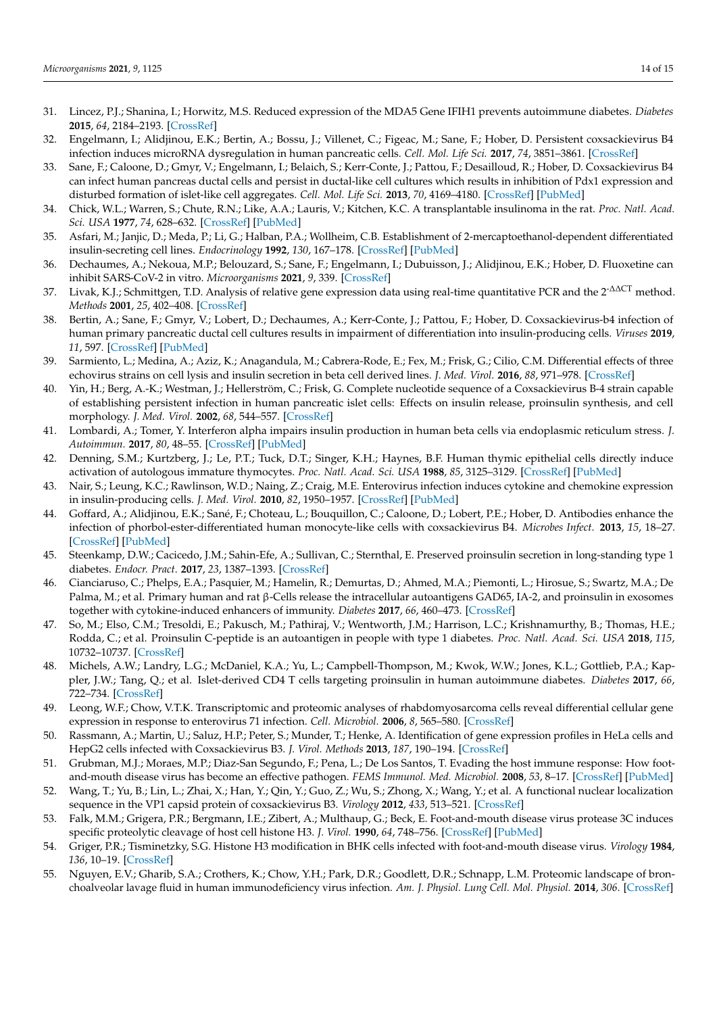- 31. Lincez, P.J.; Shanina, I.; Horwitz, M.S. Reduced expression of the MDA5 Gene IFIH1 prevents autoimmune diabetes. *Diabetes* **2015**, *64*, 2184–2193. [CrossRef]
- 32. Engelmann, I.; Alidjinou, E.K.; Bertin, A.; Bossu, J.; Villenet, C.; Figeac, M.; Sane, F.; Hober, D. Persistent coxsackievirus B4 infection induces microRNA dysregulation in human pancreatic cells. *Cell. Mol. Life Sci.* **2017**, *74*, 3851–3861. [CrossRef]
- 33. Sane, F.; Caloone, D.; Gmyr, V.; Engelmann, I.; Belaich, S.; Kerr-Conte, J.; Pattou, F.; Desailloud, R.; Hober, D. Coxsackievirus B4 can infect human pancreas ductal cells and persist in ductal-like cell cultures which results in inhibition of Pdx1 expression and disturbed formation of islet-like cell aggregates. *Cell. Mol. Life Sci.* **2013**, *70*, 4169–4180. [CrossRef] [PubMed]
- 34. Chick, W.L.; Warren, S.; Chute, R.N.; Like, A.A.; Lauris, V.; Kitchen, K.C. A transplantable insulinoma in the rat. *Proc. Natl. Acad. Sci. USA* **1977**, *74*, 628–632. [CrossRef] [PubMed]
- 35. Asfari, M.; Janjic, D.; Meda, P.; Li, G.; Halban, P.A.; Wollheim, C.B. Establishment of 2-mercaptoethanol-dependent differentiated insulin-secreting cell lines. *Endocrinology* **1992**, *130*, 167–178. [CrossRef] [PubMed]
- 36. Dechaumes, A.; Nekoua, M.P.; Belouzard, S.; Sane, F.; Engelmann, I.; Dubuisson, J.; Alidjinou, E.K.; Hober, D. Fluoxetine can inhibit SARS-CoV-2 in vitro. *Microorganisms* **2021**, *9*, 339. [CrossRef]
- 37. Livak, K.J.; Schmittgen, T.D. Analysis of relative gene expression data using real-time quantitative PCR and the 2<sup>-∆∆CT</sup> method. *Methods* **2001**, *25*, 402–408. [CrossRef]
- 38. Bertin, A.; Sane, F.; Gmyr, V.; Lobert, D.; Dechaumes, A.; Kerr-Conte, J.; Pattou, F.; Hober, D. Coxsackievirus-b4 infection of human primary pancreatic ductal cell cultures results in impairment of differentiation into insulin-producing cells. *Viruses* **2019**, *11*, 597. [CrossRef] [PubMed]
- 39. Sarmiento, L.; Medina, A.; Aziz, K.; Anagandula, M.; Cabrera-Rode, E.; Fex, M.; Frisk, G.; Cilio, C.M. Differential effects of three echovirus strains on cell lysis and insulin secretion in beta cell derived lines. *J. Med. Virol.* **2016**, *88*, 971–978. [CrossRef]
- 40. Yin, H.; Berg, A.-K.; Westman, J.; Hellerström, C.; Frisk, G. Complete nucleotide sequence of a Coxsackievirus B-4 strain capable of establishing persistent infection in human pancreatic islet cells: Effects on insulin release, proinsulin synthesis, and cell morphology. *J. Med. Virol.* **2002**, *68*, 544–557. [CrossRef]
- 41. Lombardi, A.; Tomer, Y. Interferon alpha impairs insulin production in human beta cells via endoplasmic reticulum stress. *J. Autoimmun.* **2017**, *80*, 48–55. [CrossRef] [PubMed]
- 42. Denning, S.M.; Kurtzberg, J.; Le, P.T.; Tuck, D.T.; Singer, K.H.; Haynes, B.F. Human thymic epithelial cells directly induce activation of autologous immature thymocytes. *Proc. Natl. Acad. Sci. USA* **1988**, *85*, 3125–3129. [CrossRef] [PubMed]
- 43. Nair, S.; Leung, K.C.; Rawlinson, W.D.; Naing, Z.; Craig, M.E. Enterovirus infection induces cytokine and chemokine expression in insulin-producing cells. *J. Med. Virol.* **2010**, *82*, 1950–1957. [CrossRef] [PubMed]
- 44. Goffard, A.; Alidjinou, E.K.; Sané, F.; Choteau, L.; Bouquillon, C.; Caloone, D.; Lobert, P.E.; Hober, D. Antibodies enhance the infection of phorbol-ester-differentiated human monocyte-like cells with coxsackievirus B4. *Microbes Infect.* **2013**, *15*, 18–27. [CrossRef] [PubMed]
- 45. Steenkamp, D.W.; Cacicedo, J.M.; Sahin-Efe, A.; Sullivan, C.; Sternthal, E. Preserved proinsulin secretion in long-standing type 1 diabetes. *Endocr. Pract.* **2017**, *23*, 1387–1393. [CrossRef]
- 46. Cianciaruso, C.; Phelps, E.A.; Pasquier, M.; Hamelin, R.; Demurtas, D.; Ahmed, M.A.; Piemonti, L.; Hirosue, S.; Swartz, M.A.; De Palma, M.; et al. Primary human and rat β-Cells release the intracellular autoantigens GAD65, IA-2, and proinsulin in exosomes together with cytokine-induced enhancers of immunity. *Diabetes* **2017**, *66*, 460–473. [CrossRef]
- 47. So, M.; Elso, C.M.; Tresoldi, E.; Pakusch, M.; Pathiraj, V.; Wentworth, J.M.; Harrison, L.C.; Krishnamurthy, B.; Thomas, H.E.; Rodda, C.; et al. Proinsulin C-peptide is an autoantigen in people with type 1 diabetes. *Proc. Natl. Acad. Sci. USA* **2018**, *115*, 10732–10737. [CrossRef]
- 48. Michels, A.W.; Landry, L.G.; McDaniel, K.A.; Yu, L.; Campbell-Thompson, M.; Kwok, W.W.; Jones, K.L.; Gottlieb, P.A.; Kappler, J.W.; Tang, Q.; et al. Islet-derived CD4 T cells targeting proinsulin in human autoimmune diabetes. *Diabetes* **2017**, *66*, 722–734. [CrossRef]
- 49. Leong, W.F.; Chow, V.T.K. Transcriptomic and proteomic analyses of rhabdomyosarcoma cells reveal differential cellular gene expression in response to enterovirus 71 infection. *Cell. Microbiol.* **2006**, *8*, 565–580. [CrossRef]
- 50. Rassmann, A.; Martin, U.; Saluz, H.P.; Peter, S.; Munder, T.; Henke, A. Identification of gene expression profiles in HeLa cells and HepG2 cells infected with Coxsackievirus B3. *J. Virol. Methods* **2013**, *187*, 190–194. [CrossRef]
- 51. Grubman, M.J.; Moraes, M.P.; Diaz-San Segundo, F.; Pena, L.; De Los Santos, T. Evading the host immune response: How footand-mouth disease virus has become an effective pathogen. *FEMS Immunol. Med. Microbiol.* **2008**, *53*, 8–17. [CrossRef] [PubMed]
- 52. Wang, T.; Yu, B.; Lin, L.; Zhai, X.; Han, Y.; Qin, Y.; Guo, Z.; Wu, S.; Zhong, X.; Wang, Y.; et al. A functional nuclear localization sequence in the VP1 capsid protein of coxsackievirus B3. *Virology* **2012**, *433*, 513–521. [CrossRef]
- 53. Falk, M.M.; Grigera, P.R.; Bergmann, I.E.; Zibert, A.; Multhaup, G.; Beck, E. Foot-and-mouth disease virus protease 3C induces specific proteolytic cleavage of host cell histone H3. *J. Virol.* **1990**, *64*, 748–756. [CrossRef] [PubMed]
- 54. Griger, P.R.; Tisminetzky, S.G. Histone H3 modification in BHK cells infected with foot-and-mouth disease virus. *Virology* **1984**, *136*, 10–19. [CrossRef]
- 55. Nguyen, E.V.; Gharib, S.A.; Crothers, K.; Chow, Y.H.; Park, D.R.; Goodlett, D.R.; Schnapp, L.M. Proteomic landscape of bronchoalveolar lavage fluid in human immunodeficiency virus infection. *Am. J. Physiol. Lung Cell. Mol. Physiol.* **2014**, *306*. [CrossRef]